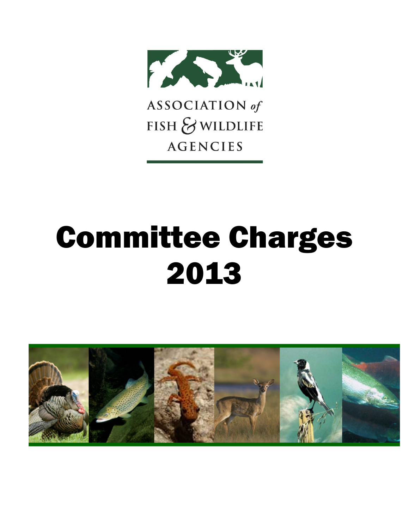

ASSOCIATION of FISH & WILDLIFE **AGENCIES** 

# Committee Charges 2013

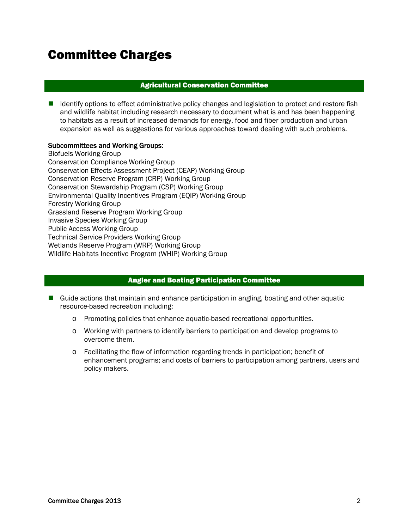# Committee Charges

# Agricultural Conservation Committee

 $\blacksquare$  Identify options to effect administrative policy changes and legislation to protect and restore fish and wildlife habitat including research necessary to document what is and has been happening to habitats as a result of increased demands for energy, food and fiber production and urban expansion as well as suggestions for various approaches toward dealing with such problems.

# Subcommittees and Working Groups:

Biofuels Working Group Conservation Compliance Working Group Conservation Effects Assessment Project (CEAP) Working Group Conservation Reserve Program (CRP) Working Group Conservation Stewardship Program (CSP) Working Group Environmental Quality Incentives Program (EQIP) Working Group Forestry Working Group Grassland Reserve Program Working Group Invasive Species Working Group Public Access Working Group Technical Service Providers Working Group Wetlands Reserve Program (WRP) Working Group Wildlife Habitats Incentive Program (WHIP) Working Group

# Angler and Boating Participation Committee

- Guide actions that maintain and enhance participation in angling, boating and other aquatic resource-based recreation including:
	- o Promoting policies that enhance aquatic-based recreational opportunities.
	- o Working with partners to identify barriers to participation and develop programs to overcome them.
	- o Facilitating the flow of information regarding trends in participation; benefit of enhancement programs; and costs of barriers to participation among partners, users and policy makers.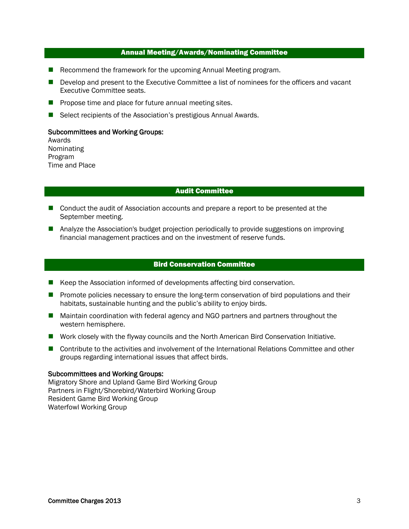# Annual Meeting/Awards/Nominating Committee

- Recommend the framework for the upcoming Annual Meeting program.
- Develop and present to the Executive Committee a list of nominees for the officers and vacant Executive Committee seats.
- $\blacksquare$  Propose time and place for future annual meeting sites.
- Select recipients of the Association's prestigious Annual Awards.

#### Subcommittees and Working Groups:

Awards Nominating Program Time and Place

# Audit Committee

- Conduct the audit of Association accounts and prepare a report to be presented at the September meeting.
- **Analyze the Association's budget projection periodically to provide suggestions on improving** financial management practices and on the investment of reserve funds.

# Bird Conservation Committee

- Keep the Association informed of developments affecting bird conservation.
- **Promote policies necessary to ensure the long-term conservation of bird populations and their** habitats, sustainable hunting and the public's ability to enjoy birds.
- Maintain coordination with federal agency and NGO partners and partners throughout the western hemisphere.
- Work closely with the flyway councils and the North American Bird Conservation Initiative.
- **Contribute to the activities and involvement of the International Relations Committee and other** groups regarding international issues that affect birds.

#### Subcommittees and Working Groups:

Migratory Shore and Upland Game Bird Working Group Partners in Flight/Shorebird/Waterbird Working Group Resident Game Bird Working Group Waterfowl Working Group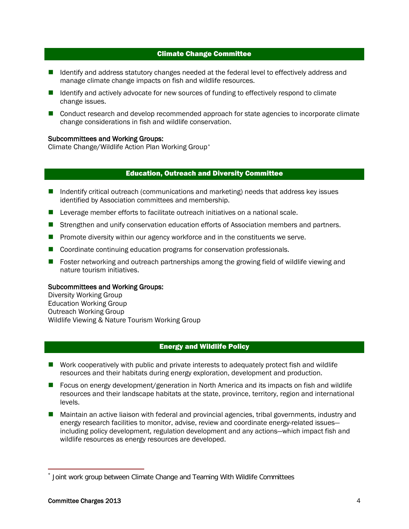#### Climate Change Committee

- Identify and address statutory changes needed at the federal level to effectively address and manage climate change impacts on fish and wildlife resources.
- Identify and actively advocate for new sources of funding to effectively respond to climate change issues.
- Conduct research and develop recommended approach for state agencies to incorporate climate change considerations in fish and wildlife conservation.

#### Subcommittees and Working Groups:

Climate Change/Wildlife Action Plan Working Group[\\*](#page-3-0)

# Education, Outreach and Diversity Committee

- Indentify critical outreach (communications and marketing) needs that address key issues identified by Association committees and membership.
- **Leverage member efforts to facilitate outreach initiatives on a national scale.**
- **Strengthen and unify conservation education efforts of Association members and partners.**
- **Promote diversity within our agency workforce and in the constituents we serve.**
- Coordinate continuing education programs for conservation professionals.
- **F** Foster networking and outreach partnerships among the growing field of wildlife viewing and nature tourism initiatives.

#### Subcommittees and Working Groups:

Diversity Working Group Education Working Group Outreach Working Group Wildlife Viewing & Nature Tourism Working Group

# Energy and Wildlife Policy

- Work cooperatively with public and private interests to adequately protect fish and wildlife resources and their habitats during energy exploration, development and production.
- Focus on energy development/generation in North America and its impacts on fish and wildlife resources and their landscape habitats at the state, province, territory, region and international levels.
- **Maintain an active liaison with federal and provincial agencies, tribal governments, industry and** energy research facilities to monitor, advise, review and coordinate energy-related issues including policy development, regulation development and any actions—which impact fish and wildlife resources as energy resources are developed.

<span id="page-3-0"></span>Joint work group between Climate Change and Teaming With Wildlife Committees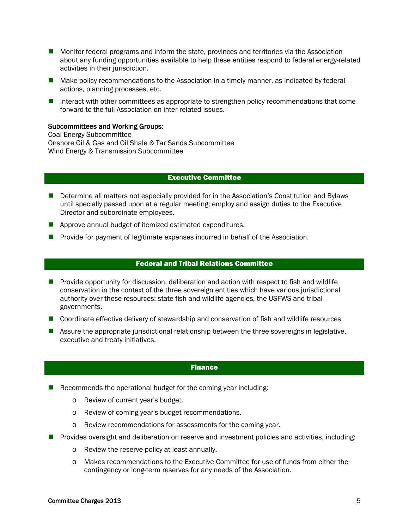- **Monitor federal programs and inform the state, provinces and territories via the Association** about any funding opportunities available to help these entities respond to federal energy-related activities in their jurisdiction.
- Make policy recommendations to the Association in a timely manner, as indicated by federal actions, planning processes, etc.
- Interact with other committees as appropriate to strengthen policy recommendations that come forward to the full Association on inter-related issues.

#### Subcommittees and Working Groups:

Coal Energy Subcommittee Onshore Oil & Gas and Oil Shale & Tar Sands Subcommittee Wind Energy & Transmission Subcommittee

#### Executive Committee

- **Determine all matters not especially provided for in the Association's Constitution and Bylaws** until specially passed upon at a regular meeting; employ and assign duties to the Executive Director and subordinate employees.
- **Approve annual budget of itemized estimated expenditures.**
- **Provide for payment of legitimate expenses incurred in behalf of the Association.**

# Federal and Tribal Relations Committee

- **Provide opportunity for discussion, deliberation and action with respect to fish and wildlife** conservation in the context of the three sovereign entities which have various jurisdictional authority over these resources: state fish and wildlife agencies, the USFWS and tribal governments.
- Coordinate effective delivery of stewardship and conservation of fish and wildlife resources.
- **Assure the appropriate jurisdictional relationship between the three sovereigns in legislative,** executive and treaty initiatives.

# Finance

- Recommends the operational budget for the coming year including:
	- o Review of current year's budget.
	- o Review of coming year's budget recommendations.
	- o Review recommendations for assessments for the coming year.
- **Provides oversight and deliberation on reserve and investment policies and activities, including:** 
	- o Review the reserve policy at least annually.
	- o Makes recommendations to the Executive Committee for use of funds from either the contingency or long-term reserves for any needs of the Association.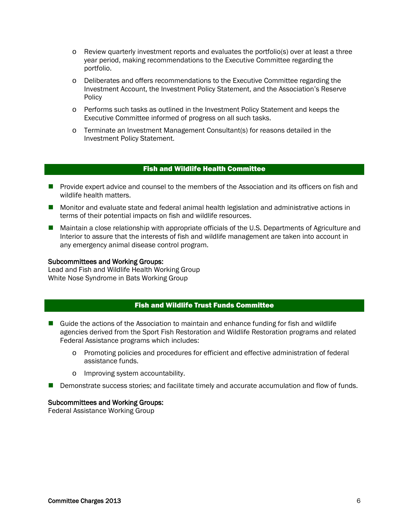- o Review quarterly investment reports and evaluates the portfolio(s) over at least a three year period, making recommendations to the Executive Committee regarding the portfolio.
- o Deliberates and offers recommendations to the Executive Committee regarding the Investment Account, the Investment Policy Statement, and the Association's Reserve **Policy**
- o Performs such tasks as outlined in the Investment Policy Statement and keeps the Executive Committee informed of progress on all such tasks.
- o Terminate an Investment Management Consultant(s) for reasons detailed in the Investment Policy Statement.

# Fish and Wildlife Health Committee

- **Provide expert advice and counsel to the members of the Association and its officers on fish and** wildlife health matters.
- **Monitor and evaluate state and federal animal health legislation and administrative actions in** terms of their potential impacts on fish and wildlife resources.
- **Maintain a close relationship with appropriate officials of the U.S. Departments of Agriculture and** Interior to assure that the interests of fish and wildlife management are taken into account in any emergency animal disease control program.

#### Subcommittees and Working Groups:

Lead and Fish and Wildlife Health Working Group White Nose Syndrome in Bats Working Group

# Fish and Wildlife Trust Funds Committee

- Guide the actions of the Association to maintain and enhance funding for fish and wildlife agencies derived from the Sport Fish Restoration and Wildlife Restoration programs and related Federal Assistance programs which includes:
	- o Promoting policies and procedures for efficient and effective administration of federal assistance funds.
	- o Improving system accountability.
- Demonstrate success stories; and facilitate timely and accurate accumulation and flow of funds.

#### Subcommittees and Working Groups:

Federal Assistance Working Group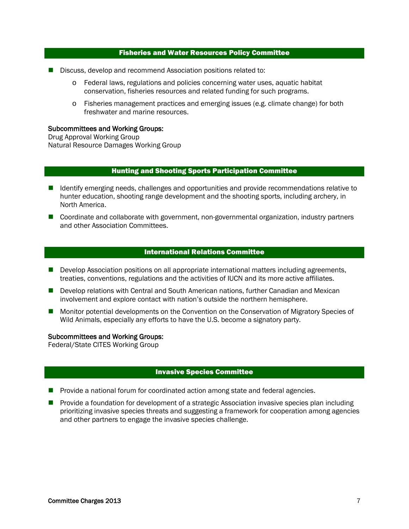#### Fisheries and Water Resources Policy Committee

- Discuss, develop and recommend Association positions related to:
	- o Federal laws, regulations and policies concerning water uses, aquatic habitat conservation, fisheries resources and related funding for such programs.
	- o Fisheries management practices and emerging issues (e.g. climate change) for both freshwater and marine resources.

#### Subcommittees and Working Groups:

Drug Approval Working Group Natural Resource Damages Working Group

#### Hunting and Shooting Sports Participation Committee

- Identify emerging needs, challenges and opportunities and provide recommendations relative to hunter education, shooting range development and the shooting sports, including archery, in North America.
- Coordinate and collaborate with government, non-governmental organization, industry partners and other Association Committees.

#### International Relations Committee

- Develop Association positions on all appropriate international matters including agreements, treaties, conventions, regulations and the activities of IUCN and its more active affiliates.
- **Develop relations with Central and South American nations, further Canadian and Mexican** involvement and explore contact with nation's outside the northern hemisphere.
- **Monitor potential developments on the Convention on the Conservation of Migratory Species of** Wild Animals, especially any efforts to have the U.S. become a signatory party.

#### Subcommittees and Working Groups:

Federal/State CITES Working Group

#### Invasive Species Committee

- **Provide a national forum for coordinated action among state and federal agencies.**
- **Provide a foundation for development of a strategic Association invasive species plan including** prioritizing invasive species threats and suggesting a framework for cooperation among agencies and other partners to engage the invasive species challenge.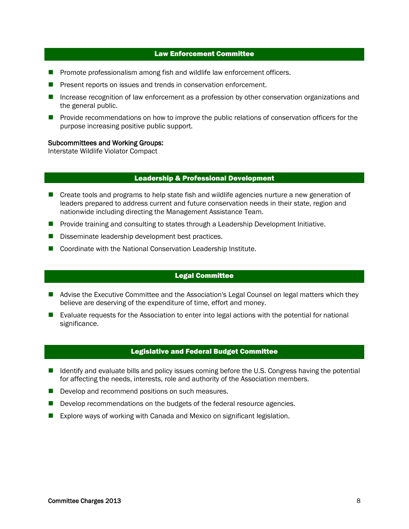#### Law Enforcement Committee

- **Promote professionalism among fish and wildlife law enforcement officers.**
- **Present reports on issues and trends in conservation enforcement.**
- **Increase recognition of law enforcement as a profession by other conservation organizations and** the general public.
- **Provide recommendations on how to improve the public relations of conservation officers for the** purpose increasing positive public support.

#### Subcommittees and Working Groups:

Interstate Wildlife Violator Compact

#### Leadership & Professional Development

- **E** Create tools and programs to help state fish and wildlife agencies nurture a new generation of leaders prepared to address current and future conservation needs in their state, region and nationwide including directing the Management Assistance Team.
- **Provide training and consulting to states through a Leadership Development Initiative.**
- Disseminate leadership development best practices.
- Coordinate with the National Conservation Leadership Institute.

# Legal Committee

- **A** Advise the Executive Committee and the Association's Legal Counsel on legal matters which they believe are deserving of the expenditure of time, effort and money.
- **E** Evaluate requests for the Association to enter into legal actions with the potential for national significance.

#### Legislative and Federal Budget Committee

- Identify and evaluate bills and policy issues coming before the U.S. Congress having the potential for affecting the needs, interests, role and authority of the Association members.
- Develop and recommend positions on such measures.
- Develop recommendations on the budgets of the federal resource agencies.
- Explore ways of working with Canada and Mexico on significant legislation.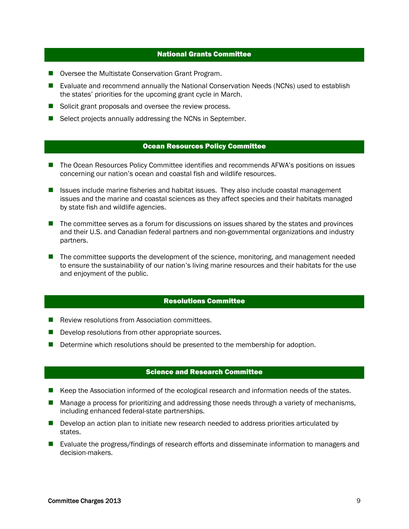#### National Grants Committee

- Oversee the Multistate Conservation Grant Program.
- **E** Evaluate and recommend annually the National Conservation Needs (NCNs) used to establish the states' priorities for the upcoming grant cycle in March.
- Solicit grant proposals and oversee the review process.
- Select projects annually addressing the NCNs in September.

#### Ocean Resources Policy Committee

- The Ocean Resources Policy Committee identifies and recommends AFWA's positions on issues concerning our nation's ocean and coastal fish and wildlife resources.
- $\blacksquare$  Issues include marine fisheries and habitat issues. They also include coastal management issues and the marine and coastal sciences as they affect species and their habitats managed by state fish and wildlife agencies.
- The committee serves as a forum for discussions on issues shared by the states and provinces and their U.S. and Canadian federal partners and non-governmental organizations and industry partners.
- The committee supports the development of the science, monitoring, and management needed to ensure the sustainability of our nation's living marine resources and their habitats for the use and enjoyment of the public.

#### Resolutions Committee

- Review resolutions from Association committees.
- $\blacksquare$  Develop resolutions from other appropriate sources.
- Determine which resolutions should be presented to the membership for adoption.

# Science and Research Committee

- Keep the Association informed of the ecological research and information needs of the states.
- **Manage a process for prioritizing and addressing those needs through a variety of mechanisms,** including enhanced federal-state partnerships.
- Develop an action plan to initiate new research needed to address priorities articulated by states.
- **Exaluate the progress/findings of research efforts and disseminate information to managers and** decision-makers.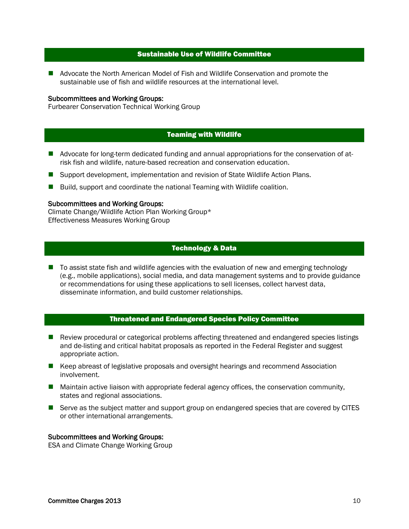# Sustainable Use of Wildlife Committee

**Advocate the North American Model of Fish and Wildlife Conservation and promote the** sustainable use of fish and wildlife resources at the international level.

#### Subcommittees and Working Groups:

Furbearer Conservation Technical Working Group

# Teaming with Wildlife

- Advocate for long-term dedicated funding and annual appropriations for the conservation of atrisk fish and wildlife, nature-based recreation and conservation education.
- Support development, implementation and revision of State Wildlife Action Plans.
- **Build, support and coordinate the national Teaming with Wildlife coalition.**

#### Subcommittees and Working Groups:

Climate Change/Wildlife Action Plan Working Group\* Effectiveness Measures Working Group

# Technology & Data

■ To assist state fish and wildlife agencies with the evaluation of new and emerging technology (e.g., mobile applications), social media, and data management systems and to provide guidance or recommendations for using these applications to sell licenses, collect harvest data, disseminate information, and build customer relationships.

# Threatened and Endangered Species Policy Committee

- **Review procedural or categorical problems affecting threatened and endangered species listings** and de-listing and critical habitat proposals as reported in the Federal Register and suggest appropriate action.
- Keep abreast of legislative proposals and oversight hearings and recommend Association involvement.
- **Maintain active liaison with appropriate federal agency offices, the conservation community,** states and regional associations.
- Serve as the subject matter and support group on endangered species that are covered by CITES or other international arrangements.

#### Subcommittees and Working Groups:

ESA and Climate Change Working Group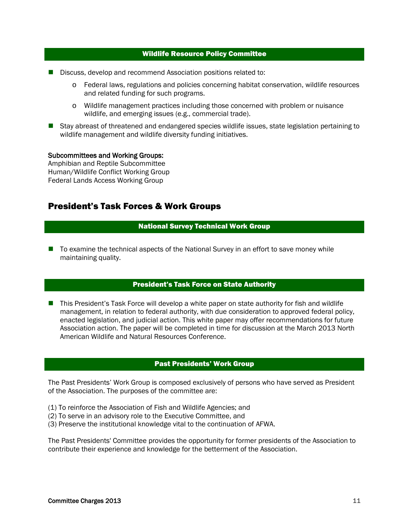#### Wildlife Resource Policy Committee

- Discuss, develop and recommend Association positions related to:
	- o Federal laws, regulations and policies concerning habitat conservation, wildlife resources and related funding for such programs.
	- o Wildlife management practices including those concerned with problem or nuisance wildlife, and emerging issues (e.g., commercial trade).
- Stay abreast of threatened and endangered species wildlife issues, state legislation pertaining to wildlife management and wildlife diversity funding initiatives.

#### Subcommittees and Working Groups:

Amphibian and Reptile Subcommittee Human/Wildlife Conflict Working Group Federal Lands Access Working Group

# President's Task Forces & Work Groups

# National Survey Technical Work Group

■ To examine the technical aspects of the National Survey in an effort to save money while maintaining quality.

# President's Task Force on State Authority

■ This President's Task Force will develop a white paper on state authority for fish and wildlife management, in relation to federal authority, with due consideration to approved federal policy, enacted legislation, and judicial action. This white paper may offer recommendations for future Association action. The paper will be completed in time for discussion at the March 2013 North American Wildlife and Natural Resources Conference.

# Past Presidents' Work Group

The Past Presidents' Work Group is composed exclusively of persons who have served as President of the Association. The purposes of the committee are:

- (1) To reinforce the Association of Fish and Wildlife Agencies; and
- (2) To serve in an advisory role to the Executive Committee, and
- (3) Preserve the institutional knowledge vital to the continuation of AFWA.

The Past Presidents' Committee provides the opportunity for former presidents of the Association to contribute their experience and knowledge for the betterment of the Association.